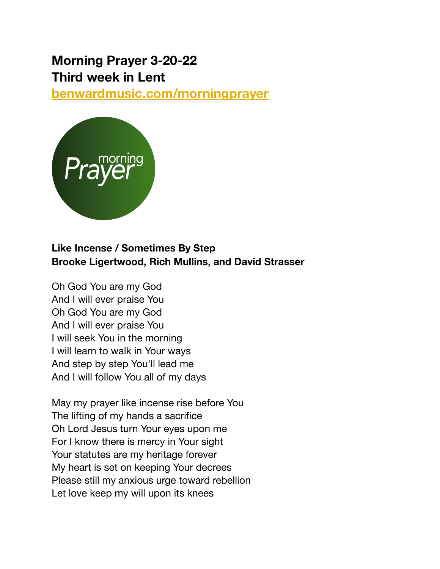# **Morning Prayer 3-20-22 Third week in Lent**

**[benwardmusic.com/morningprayer](http://benwardmusic.com/morningprayer)**



## **Like Incense / Sometimes By Step Brooke Ligertwood, Rich Mullins, and David Strasser**

Oh God You are my God And I will ever praise You Oh God You are my God And I will ever praise You I will seek You in the morning I will learn to walk in Your ways And step by step You'll lead me And I will follow You all of my days

May my prayer like incense rise before You The lifting of my hands a sacrifice Oh Lord Jesus turn Your eyes upon me For I know there is mercy in Your sight Your statutes are my heritage forever My heart is set on keeping Your decrees Please still my anxious urge toward rebellion Let love keep my will upon its knees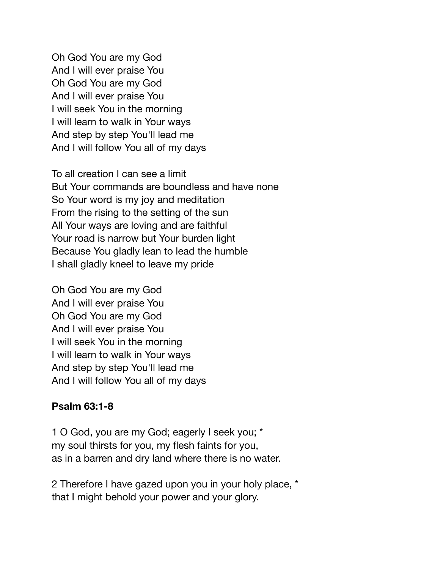Oh God You are my God And I will ever praise You Oh God You are my God And I will ever praise You I will seek You in the morning I will learn to walk in Your ways And step by step You'll lead me And I will follow You all of my days

To all creation I can see a limit But Your commands are boundless and have none So Your word is my joy and meditation From the rising to the setting of the sun All Your ways are loving and are faithful Your road is narrow but Your burden light Because You gladly lean to lead the humble I shall gladly kneel to leave my pride

Oh God You are my God And I will ever praise You Oh God You are my God And I will ever praise You I will seek You in the morning I will learn to walk in Your ways And step by step You'll lead me And I will follow You all of my days

#### **Psalm 63:1-8**

1 O God, you are my God; eagerly I seek you; \* my soul thirsts for you, my flesh faints for you, as in a barren and dry land where there is no water.

2 Therefore I have gazed upon you in your holy place, \* that I might behold your power and your glory.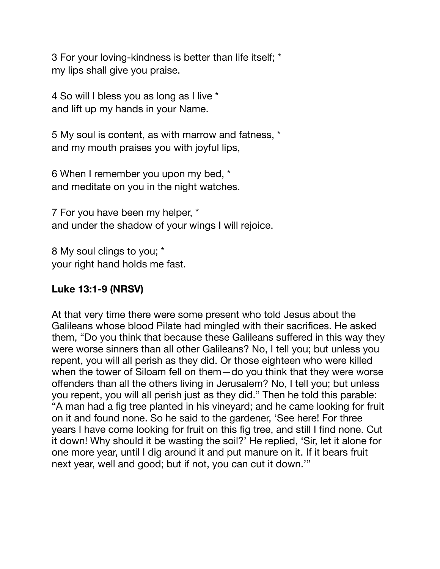3 For your loving-kindness is better than life itself; \* my lips shall give you praise.

4 So will I bless you as long as I live \* and lift up my hands in your Name.

5 My soul is content, as with marrow and fatness, \* and my mouth praises you with joyful lips,

6 When I remember you upon my bed, \* and meditate on you in the night watches.

7 For you have been my helper, \* and under the shadow of your wings I will rejoice.

8 My soul clings to you; \* your right hand holds me fast.

### **Luke 13:1-9 (NRSV)**

At that very time there were some present who told Jesus about the Galileans whose blood Pilate had mingled with their sacrifices. He asked them, "Do you think that because these Galileans suffered in this way they were worse sinners than all other Galileans? No, I tell you; but unless you repent, you will all perish as they did. Or those eighteen who were killed when the tower of Siloam fell on them—do you think that they were worse offenders than all the others living in Jerusalem? No, I tell you; but unless you repent, you will all perish just as they did." Then he told this parable: "A man had a fig tree planted in his vineyard; and he came looking for fruit on it and found none. So he said to the gardener, 'See here! For three years I have come looking for fruit on this fig tree, and still I find none. Cut it down! Why should it be wasting the soil?' He replied, 'Sir, let it alone for one more year, until I dig around it and put manure on it. If it bears fruit next year, well and good; but if not, you can cut it down.'"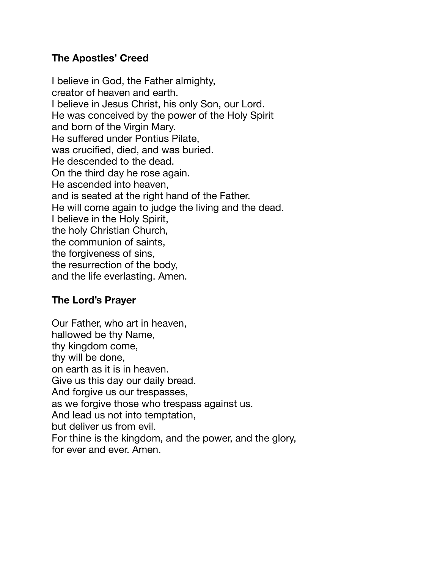#### **The Apostles' Creed**

I believe in God, the Father almighty, creator of heaven and earth. I believe in Jesus Christ, his only Son, our Lord. He was conceived by the power of the Holy Spirit and born of the Virgin Mary. He suffered under Pontius Pilate, was crucified, died, and was buried. He descended to the dead. On the third day he rose again. He ascended into heaven, and is seated at the right hand of the Father. He will come again to judge the living and the dead. I believe in the Holy Spirit, the holy Christian Church, the communion of saints, the forgiveness of sins, the resurrection of the body, and the life everlasting. Amen.

#### **The Lord's Prayer**

Our Father, who art in heaven, hallowed be thy Name, thy kingdom come, thy will be done, on earth as it is in heaven. Give us this day our daily bread. And forgive us our trespasses, as we forgive those who trespass against us. And lead us not into temptation, but deliver us from evil. For thine is the kingdom, and the power, and the glory, for ever and ever. Amen.